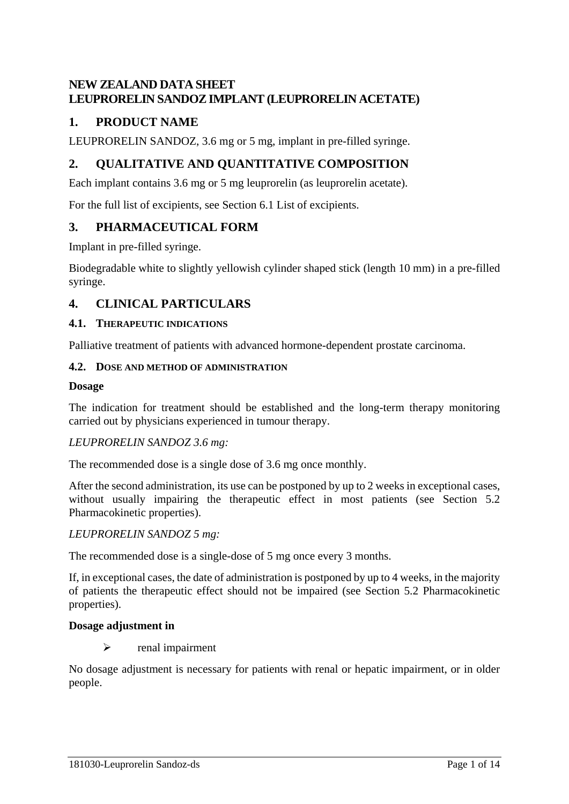# **NEW ZEALAND DATA SHEET LEUPRORELIN SANDOZIMPLANT (LEUPRORELIN ACETATE)**

# **1. PRODUCT NAME**

LEUPRORELIN SANDOZ, 3.6 mg or 5 mg, implant in pre-filled syringe.

# **2. QUALITATIVE AND QUANTITATIVE COMPOSITION**

Each implant contains 3.6 mg or 5 mg leuprorelin (as leuprorelin acetate).

For the full list of excipients, see Section [6.1](#page-12-0) List of excipients.

## **3. PHARMACEUTICAL FORM**

Implant in pre-filled syringe.

Biodegradable white to slightly yellowish cylinder shaped stick (length 10 mm) in a pre-filled syringe.

## **4. CLINICAL PARTICULARS**

### **4.1. THERAPEUTIC INDICATIONS**

Palliative treatment of patients with advanced hormone-dependent prostate carcinoma.

### <span id="page-0-0"></span>**4.2. DOSE AND METHOD OF ADMINISTRATION**

### **Dosage**

The indication for treatment should be established and the long-term therapy monitoring carried out by physicians experienced in tumour therapy.

### *LEUPRORELIN SANDOZ 3.6 mg:*

The recommended dose is a single dose of 3.6 mg once monthly.

After the second administration, its use can be postponed by up to 2 weeks in exceptional cases. without usually impairing the therapeutic effect in most patients (see Section [5.2](#page-11-0)) Pharmacokinetic properties).

### *LEUPRORELIN SANDOZ 5 mg:*

The recommended dose is a single-dose of 5 mg once every 3 months.

If, in exceptional cases, the date of administration is postponed by up to 4 weeks, in the majority of patients the therapeutic effect should not be impaired (see Section [5.2](#page-11-0) Pharmacokinetic properties).

### **Dosage adjustment in**

 $\triangleright$  renal impairment

No dosage adjustment is necessary for patients with renal or hepatic impairment, or in older people.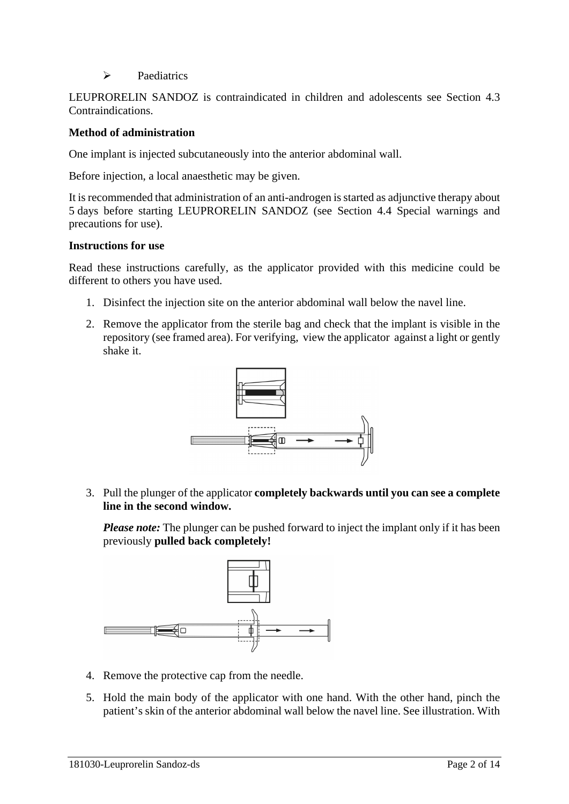$\triangleright$  Paediatrics

LEUPRORELIN SANDOZ is contraindicated in children and adolescents see Section [4.3](#page-3-0) Contraindications.

### **Method of administration**

One implant is injected subcutaneously into the anterior abdominal wall.

Before injection, a local anaesthetic may be given.

It is recommended that administration of an anti-androgen is started as adjunctive therapy about 5 days before starting LEUPRORELIN SANDOZ (see Section [4.4](#page-3-1) Special warnings and precautions for use).

### **Instructions for use**

Read these instructions carefully, as the applicator provided with this medicine could be different to others you have used.

- 1. Disinfect the injection site on the anterior abdominal wall below the navel line.
- 2. Remove the applicator from the sterile bag and check that the implant is visible in the repository (see framed area). For verifying, view the applicator against a light or gently shake it.



3. Pull the plunger of the applicator **completely backwards until you can see a complete line in the second window.**

*Please note:* The plunger can be pushed forward to inject the implant only if it has been previously **pulled back completely!**



- 4. Remove the protective cap from the needle.
- 5. Hold the main body of the applicator with one hand. With the other hand, pinch the patient's skin of the anterior abdominal wall below the navel line. See illustration. With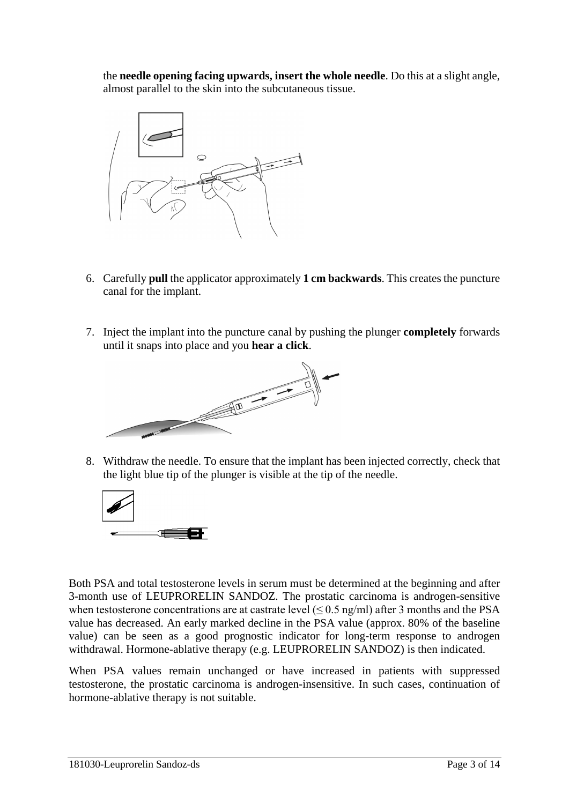the **needle opening facing upwards, insert the whole needle**. Do this at a slight angle, almost parallel to the skin into the subcutaneous tissue.



- 6. Carefully **pull** the applicator approximately **1 cm backwards**. This creates the puncture canal for the implant.
- 7. Inject the implant into the puncture canal by pushing the plunger **completely** forwards until it snaps into place and you **hear a click**.



8. Withdraw the needle. To ensure that the implant has been injected correctly, check that the light blue tip of the plunger is visible at the tip of the needle.



Both PSA and total testosterone levels in serum must be determined at the beginning and after 3-month use of LEUPRORELIN SANDOZ. The prostatic carcinoma is androgen-sensitive when testosterone concentrations are at castrate level  $(\leq 0.5 \text{ ng/ml})$  after 3 months and the PSA value has decreased. An early marked decline in the PSA value (approx. 80% of the baseline value) can be seen as a good prognostic indicator for long-term response to androgen withdrawal. Hormone-ablative therapy (e.g. LEUPRORELIN SANDOZ) is then indicated.

When PSA values remain unchanged or have increased in patients with suppressed testosterone, the prostatic carcinoma is androgen-insensitive. In such cases, continuation of hormone-ablative therapy is not suitable.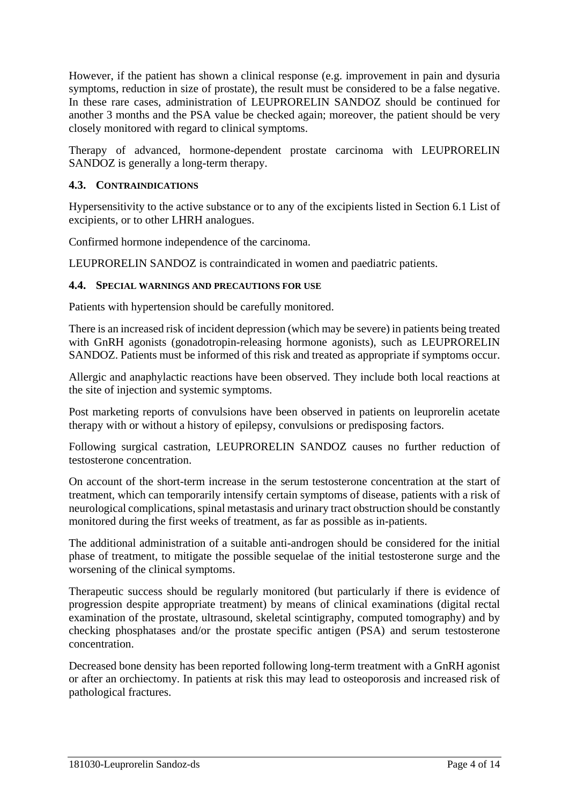However, if the patient has shown a clinical response (e.g. improvement in pain and dysuria symptoms, reduction in size of prostate), the result must be considered to be a false negative. In these rare cases, administration of LEUPRORELIN SANDOZ should be continued for another 3 months and the PSA value be checked again; moreover, the patient should be very closely monitored with regard to clinical symptoms.

Therapy of advanced, hormone-dependent prostate carcinoma with LEUPRORELIN SANDOZ is generally a long-term therapy.

### <span id="page-3-0"></span>**4.3. CONTRAINDICATIONS**

Hypersensitivity to the active substance or to any of the excipients listed in Section [6.1](#page-12-0) List of excipients, or to other LHRH analogues.

Confirmed hormone independence of the carcinoma.

LEUPRORELIN SANDOZ is contraindicated in women and paediatric patients.

### <span id="page-3-1"></span>**4.4. SPECIAL WARNINGS AND PRECAUTIONS FOR USE**

Patients with hypertension should be carefully monitored.

There is an increased risk of incident depression (which may be severe) in patients being treated with GnRH agonists (gonadotropin-releasing hormone agonists), such as LEUPRORELIN SANDOZ. Patients must be informed of this risk and treated as appropriate if symptoms occur.

Allergic and anaphylactic reactions have been observed. They include both local reactions at the site of injection and systemic symptoms.

Post marketing reports of convulsions have been observed in patients on leuprorelin acetate therapy with or without a history of epilepsy, convulsions or predisposing factors.

Following surgical castration, LEUPRORELIN SANDOZ causes no further reduction of testosterone concentration.

On account of the short-term increase in the serum testosterone concentration at the start of treatment, which can temporarily intensify certain symptoms of disease, patients with a risk of neurological complications, spinal metastasis and urinary tract obstruction should be constantly monitored during the first weeks of treatment, as far as possible as in-patients.

The additional administration of a suitable anti-androgen should be considered for the initial phase of treatment, to mitigate the possible sequelae of the initial testosterone surge and the worsening of the clinical symptoms.

Therapeutic success should be regularly monitored (but particularly if there is evidence of progression despite appropriate treatment) by means of clinical examinations (digital rectal examination of the prostate, ultrasound, skeletal scintigraphy, computed tomography) and by checking phosphatases and/or the prostate specific antigen (PSA) and serum testosterone concentration.

Decreased bone density has been reported following long-term treatment with a GnRH agonist or after an orchiectomy. In patients at risk this may lead to osteoporosis and increased risk of pathological fractures.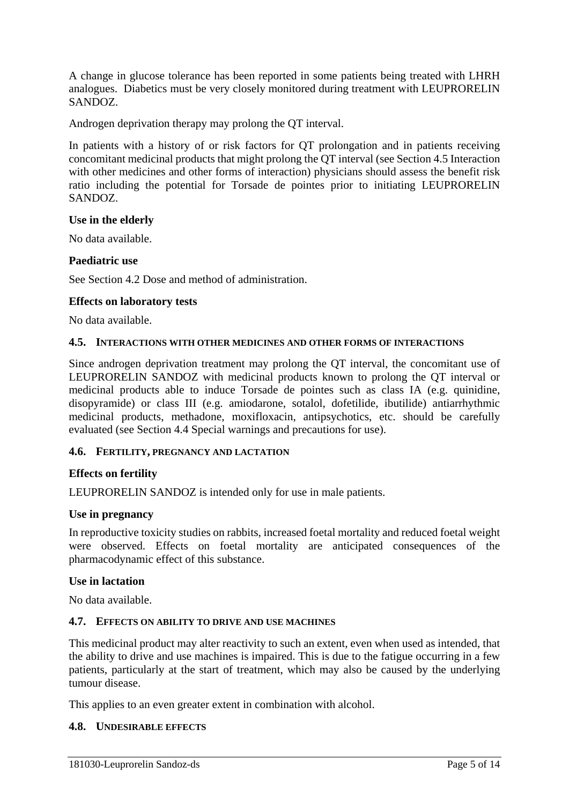A change in glucose tolerance has been reported in some patients being treated with LHRH analogues. Diabetics must be very closely monitored during treatment with LEUPRORELIN SANDOZ.

Androgen deprivation therapy may prolong the QT interval.

In patients with a history of or risk factors for QT prolongation and in patients receiving concomitant medicinal products that might prolong the QT interval (see Section [4.5](#page-4-0) Interaction with other medicines and other forms of interaction) physicians should assess the benefit risk ratio including the potential for Torsade de pointes prior to initiating LEUPRORELIN SANDOZ.

### **Use in the elderly**

No data available.

### **Paediatric use**

See Section [4.2](#page-0-0) Dose and method of administration.

### **Effects on laboratory tests**

No data available.

#### <span id="page-4-0"></span>**4.5. INTERACTIONS WITH OTHER MEDICINES AND OTHER FORMS OF INTERACTIONS**

Since androgen deprivation treatment may prolong the QT interval, the concomitant use of LEUPRORELIN SANDOZ with medicinal products known to prolong the QT interval or medicinal products able to induce Torsade de pointes such as class IA (e.g. quinidine, disopyramide) or class III (e.g. amiodarone, sotalol, dofetilide, ibutilide) antiarrhythmic medicinal products, methadone, moxifloxacin, antipsychotics, etc. should be carefully evaluated (see Section [4.4](#page-3-1) Special warnings and precautions for use).

### **4.6. FERTILITY, PREGNANCY AND LACTATION**

### **Effects on fertility**

LEUPRORELIN SANDOZ is intended only for use in male patients.

### **Use in pregnancy**

In reproductive toxicity studies on rabbits, increased foetal mortality and reduced foetal weight were observed. Effects on foetal mortality are anticipated consequences of the pharmacodynamic effect of this substance.

### **Use in lactation**

No data available.

### **4.7. EFFECTS ON ABILITY TO DRIVE AND USE MACHINES**

This medicinal product may alter reactivity to such an extent, even when used as intended, that the ability to drive and use machines is impaired. This is due to the fatigue occurring in a few patients, particularly at the start of treatment, which may also be caused by the underlying tumour disease.

This applies to an even greater extent in combination with alcohol.

### **4.8. UNDESIRABLE EFFECTS**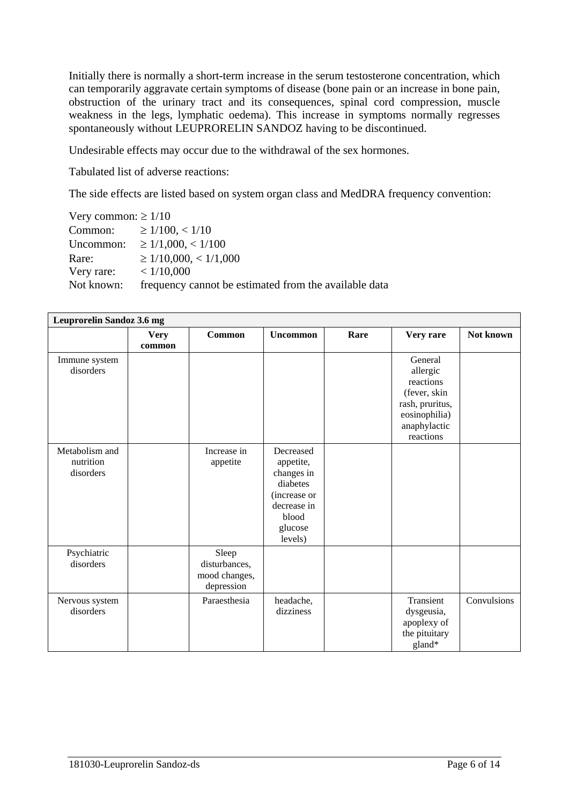Initially there is normally a short-term increase in the serum testosterone concentration, which can temporarily aggravate certain symptoms of disease (bone pain or an increase in bone pain, obstruction of the urinary tract and its consequences, spinal cord compression, muscle weakness in the legs, lymphatic oedema). This increase in symptoms normally regresses spontaneously without LEUPRORELIN SANDOZ having to be discontinued.

Undesirable effects may occur due to the withdrawal of the sex hormones.

Tabulated list of adverse reactions:

The side effects are listed based on system organ class and MedDRA frequency convention:

| Very common: $\geq 1/10$ |                                                       |
|--------------------------|-------------------------------------------------------|
|                          | Common: $\geq 1/100, < 1/10$                          |
| Uncommon:                | $\geq 1/1,000,< 1/100$                                |
| Rare:                    | $\geq 1/10,000, \leq 1/1,000$                         |
| Very rare:               | < 1/10,000                                            |
| Not known:               | frequency cannot be estimated from the available data |

| Leuprorelin Sandoz 3.6 mg                |                       |                                                       |                                                                                                                |      |                                                                                                                   |             |
|------------------------------------------|-----------------------|-------------------------------------------------------|----------------------------------------------------------------------------------------------------------------|------|-------------------------------------------------------------------------------------------------------------------|-------------|
|                                          | <b>Very</b><br>common | Common                                                | <b>Uncommon</b>                                                                                                | Rare | Very rare                                                                                                         | Not known   |
| Immune system<br>disorders               |                       |                                                       |                                                                                                                |      | General<br>allergic<br>reactions<br>(fever, skin<br>rash, pruritus,<br>eosinophilia)<br>anaphylactic<br>reactions |             |
| Metabolism and<br>nutrition<br>disorders |                       | Increase in<br>appetite                               | Decreased<br>appetite,<br>changes in<br>diabetes<br>(increase or<br>decrease in<br>blood<br>glucose<br>levels) |      |                                                                                                                   |             |
| Psychiatric<br>disorders                 |                       | Sleep<br>disturbances,<br>mood changes,<br>depression |                                                                                                                |      |                                                                                                                   |             |
| Nervous system<br>disorders              |                       | Paraesthesia                                          | headache,<br>dizziness                                                                                         |      | Transient<br>dysgeusia,<br>apoplexy of<br>the pituitary<br>gland*                                                 | Convulsions |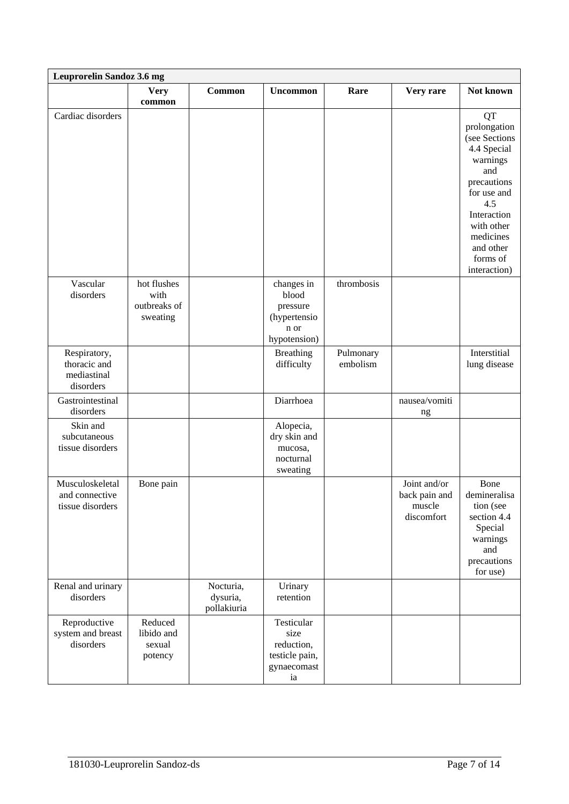| <b>Leuprorelin Sandoz 3.6 mg</b>                         |                                                 |                                      |                                                                         |                       |                                                       |                                                                                                                                                                                                      |
|----------------------------------------------------------|-------------------------------------------------|--------------------------------------|-------------------------------------------------------------------------|-----------------------|-------------------------------------------------------|------------------------------------------------------------------------------------------------------------------------------------------------------------------------------------------------------|
|                                                          | <b>Very</b><br>common                           | <b>Common</b>                        | <b>Uncommon</b>                                                         | Rare                  | Very rare                                             | Not known                                                                                                                                                                                            |
| Cardiac disorders                                        |                                                 |                                      |                                                                         |                       |                                                       | <b>QT</b><br>prolongation<br>(see Sections<br>4.4 Special<br>warnings<br>and<br>precautions<br>for use and<br>4.5<br>Interaction<br>with other<br>medicines<br>and other<br>forms of<br>interaction) |
| Vascular<br>disorders                                    | hot flushes<br>with<br>outbreaks of<br>sweating |                                      | changes in<br>blood<br>pressure<br>(hypertensio<br>n or<br>hypotension) | thrombosis            |                                                       |                                                                                                                                                                                                      |
| Respiratory,<br>thoracic and<br>mediastinal<br>disorders |                                                 |                                      | <b>Breathing</b><br>difficulty                                          | Pulmonary<br>embolism |                                                       | Interstitial<br>lung disease                                                                                                                                                                         |
| Gastrointestinal<br>disorders                            |                                                 |                                      | Diarrhoea                                                               |                       | nausea/vomiti<br>ng                                   |                                                                                                                                                                                                      |
| Skin and<br>subcutaneous<br>tissue disorders             |                                                 |                                      | Alopecia,<br>dry skin and<br>mucosa,<br>nocturnal<br>sweating           |                       |                                                       |                                                                                                                                                                                                      |
| Musculoskeletal<br>and connective<br>tissue disorders    | Bone pain                                       |                                      |                                                                         |                       | Joint and/or<br>back pain and<br>muscle<br>discomfort | Bone<br>demineralisa<br>tion (see<br>section 4.4<br>Special<br>warnings<br>and<br>precautions<br>for use)                                                                                            |
| Renal and urinary<br>disorders                           |                                                 | Nocturia,<br>dysuria,<br>pollakiuria | Urinary<br>retention                                                    |                       |                                                       |                                                                                                                                                                                                      |
| Reproductive<br>system and breast<br>disorders           | Reduced<br>libido and<br>sexual<br>potency      |                                      | Testicular<br>size<br>reduction,<br>testicle pain,<br>gynaecomast<br>ia |                       |                                                       |                                                                                                                                                                                                      |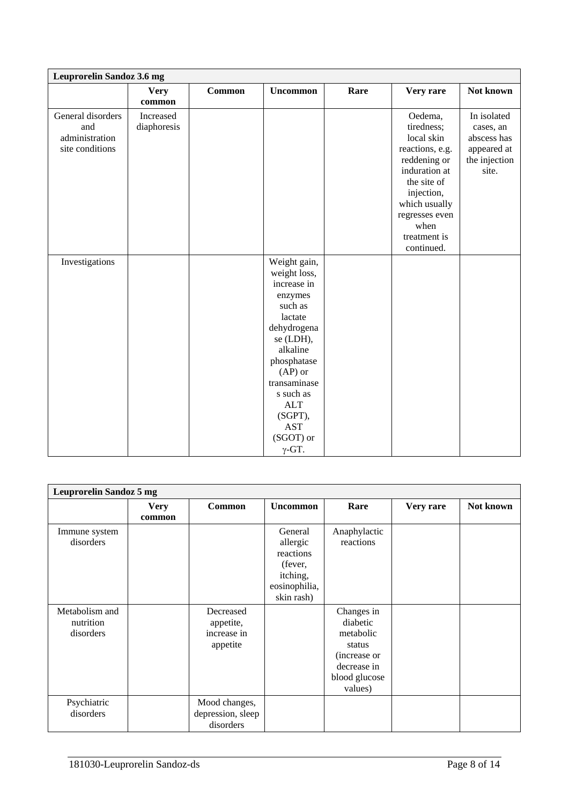| <b>Leuprorelin Sandoz 3.6 mg</b>                              |                          |               |                                                                                                                                                                                                                                                    |      |                                                                                                                                                                                               |                                                                                  |
|---------------------------------------------------------------|--------------------------|---------------|----------------------------------------------------------------------------------------------------------------------------------------------------------------------------------------------------------------------------------------------------|------|-----------------------------------------------------------------------------------------------------------------------------------------------------------------------------------------------|----------------------------------------------------------------------------------|
|                                                               | <b>Very</b><br>common    | <b>Common</b> | <b>Uncommon</b>                                                                                                                                                                                                                                    | Rare | Very rare                                                                                                                                                                                     | Not known                                                                        |
| General disorders<br>and<br>administration<br>site conditions | Increased<br>diaphoresis |               |                                                                                                                                                                                                                                                    |      | Oedema,<br>tiredness;<br>local skin<br>reactions, e.g.<br>reddening or<br>induration at<br>the site of<br>injection,<br>which usually<br>regresses even<br>when<br>treatment is<br>continued. | In isolated<br>cases, an<br>abscess has<br>appeared at<br>the injection<br>site. |
| Investigations                                                |                          |               | Weight gain,<br>weight loss,<br>increase in<br>enzymes<br>such as<br>lactate<br>dehydrogena<br>se (LDH),<br>alkaline<br>phosphatase<br>$(AP)$ or<br>transaminase<br>s such as<br><b>ALT</b><br>(SGPT),<br><b>AST</b><br>(SGOT) or<br>$\gamma$ -GT. |      |                                                                                                                                                                                               |                                                                                  |

| <b>Leuprorelin Sandoz 5 mg</b>           |                       |                                                   |                                                                                        |                                                                                                           |           |           |
|------------------------------------------|-----------------------|---------------------------------------------------|----------------------------------------------------------------------------------------|-----------------------------------------------------------------------------------------------------------|-----------|-----------|
|                                          | <b>Very</b><br>common | Common                                            | <b>Uncommon</b>                                                                        | Rare                                                                                                      | Very rare | Not known |
| Immune system<br>disorders               |                       |                                                   | General<br>allergic<br>reactions<br>(fever,<br>itching,<br>eosinophilia,<br>skin rash) | Anaphylactic<br>reactions                                                                                 |           |           |
| Metabolism and<br>nutrition<br>disorders |                       | Decreased<br>appetite,<br>increase in<br>appetite |                                                                                        | Changes in<br>diabetic<br>metabolic<br>status<br>(increase or)<br>decrease in<br>blood glucose<br>values) |           |           |
| Psychiatric<br>disorders                 |                       | Mood changes,<br>depression, sleep<br>disorders   |                                                                                        |                                                                                                           |           |           |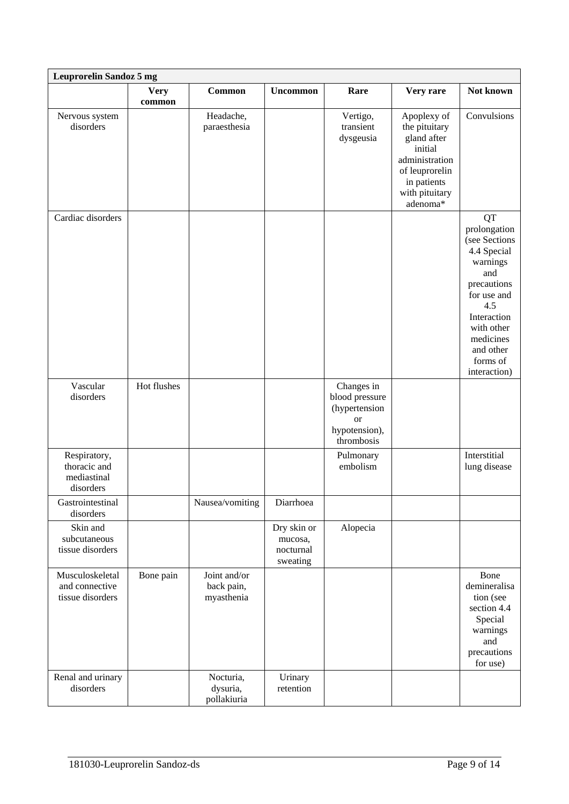| <b>Leuprorelin Sandoz 5 mg</b>                           |                       |                                          |                                                 |                                                                                               |                                                                                                                                         |                                                                                                                                                                                                      |
|----------------------------------------------------------|-----------------------|------------------------------------------|-------------------------------------------------|-----------------------------------------------------------------------------------------------|-----------------------------------------------------------------------------------------------------------------------------------------|------------------------------------------------------------------------------------------------------------------------------------------------------------------------------------------------------|
|                                                          | <b>Very</b><br>common | <b>Common</b>                            | <b>Uncommon</b>                                 | Rare                                                                                          | Very rare                                                                                                                               | Not known                                                                                                                                                                                            |
| Nervous system<br>disorders                              |                       | Headache,<br>paraesthesia                |                                                 | Vertigo,<br>transient<br>dysgeusia                                                            | Apoplexy of<br>the pituitary<br>gland after<br>initial<br>administration<br>of leuprorelin<br>in patients<br>with pituitary<br>adenoma* | Convulsions                                                                                                                                                                                          |
| Cardiac disorders                                        |                       |                                          |                                                 |                                                                                               |                                                                                                                                         | <b>QT</b><br>prolongation<br>(see Sections<br>4.4 Special<br>warnings<br>and<br>precautions<br>for use and<br>4.5<br>Interaction<br>with other<br>medicines<br>and other<br>forms of<br>interaction) |
| Vascular<br>disorders                                    | Hot flushes           |                                          |                                                 | Changes in<br>blood pressure<br>(hypertension<br><sub>or</sub><br>hypotension),<br>thrombosis |                                                                                                                                         |                                                                                                                                                                                                      |
| Respiratory,<br>thoracic and<br>mediastinal<br>disorders |                       |                                          |                                                 | Pulmonary<br>embolism                                                                         |                                                                                                                                         | Interstitial<br>lung disease                                                                                                                                                                         |
| Gastrointestinal<br>disorders                            |                       | Nausea/vomiting                          | Diarrhoea                                       |                                                                                               |                                                                                                                                         |                                                                                                                                                                                                      |
| Skin and<br>subcutaneous<br>tissue disorders             |                       |                                          | Dry skin or<br>mucosa,<br>nocturnal<br>sweating | Alopecia                                                                                      |                                                                                                                                         |                                                                                                                                                                                                      |
| Musculoskeletal<br>and connective<br>tissue disorders    | Bone pain             | Joint and/or<br>back pain,<br>myasthenia |                                                 |                                                                                               |                                                                                                                                         | Bone<br>demineralisa<br>tion (see<br>section 4.4<br>Special<br>warnings<br>and<br>precautions<br>for use)                                                                                            |
| Renal and urinary<br>disorders                           |                       | Nocturia,<br>dysuria,<br>pollakiuria     | Urinary<br>retention                            |                                                                                               |                                                                                                                                         |                                                                                                                                                                                                      |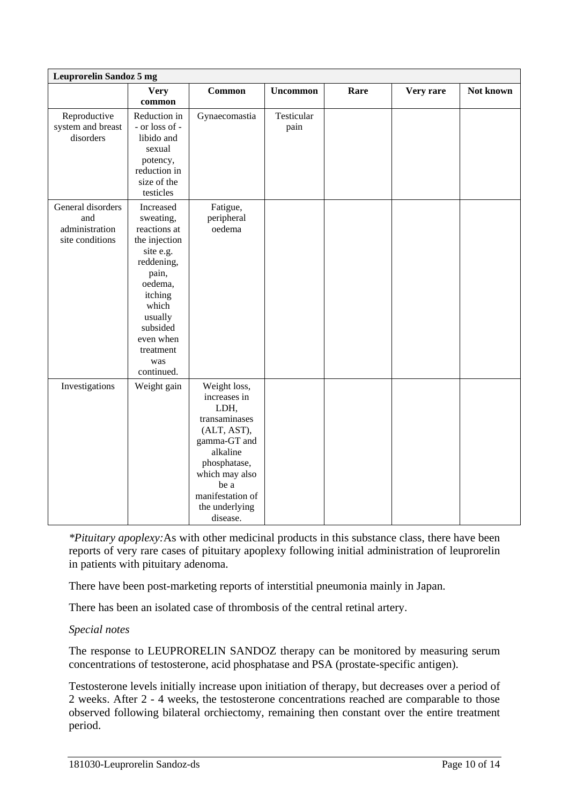| <b>Leuprorelin Sandoz 5 mg</b>                                |                                                                                                                                                                                                  |                                                                                                                                                                                              |                    |      |           |           |
|---------------------------------------------------------------|--------------------------------------------------------------------------------------------------------------------------------------------------------------------------------------------------|----------------------------------------------------------------------------------------------------------------------------------------------------------------------------------------------|--------------------|------|-----------|-----------|
|                                                               | <b>Very</b><br>common                                                                                                                                                                            | <b>Common</b>                                                                                                                                                                                | <b>Uncommon</b>    | Rare | Very rare | Not known |
| Reproductive<br>system and breast<br>disorders                | Reduction in<br>- or loss of -<br>libido and<br>sexual<br>potency,<br>reduction in<br>size of the<br>testicles                                                                                   | Gynaecomastia                                                                                                                                                                                | Testicular<br>pain |      |           |           |
| General disorders<br>and<br>administration<br>site conditions | Increased<br>sweating,<br>reactions at<br>the injection<br>site e.g.<br>reddening,<br>pain,<br>oedema,<br>itching<br>which<br>usually<br>subsided<br>even when<br>treatment<br>was<br>continued. | Fatigue,<br>peripheral<br>oedema                                                                                                                                                             |                    |      |           |           |
| Investigations                                                | Weight gain                                                                                                                                                                                      | Weight loss,<br>increases in<br>LDH,<br>transaminases<br>(ALT, AST),<br>gamma-GT and<br>alkaline<br>phosphatase,<br>which may also<br>be a<br>manifestation of<br>the underlying<br>disease. |                    |      |           |           |

*\*Pituitary apoplexy:*As with other medicinal products in this substance class, there have been reports of very rare cases of pituitary apoplexy following initial administration of leuprorelin in patients with pituitary adenoma.

There have been post-marketing reports of interstitial pneumonia mainly in Japan.

There has been an isolated case of thrombosis of the central retinal artery.

### *Special notes*

The response to LEUPRORELIN SANDOZ therapy can be monitored by measuring serum concentrations of testosterone, acid phosphatase and PSA (prostate-specific antigen).

Testosterone levels initially increase upon initiation of therapy, but decreases over a period of 2 weeks. After 2 - 4 weeks, the testosterone concentrations reached are comparable to those observed following bilateral orchiectomy, remaining then constant over the entire treatment period.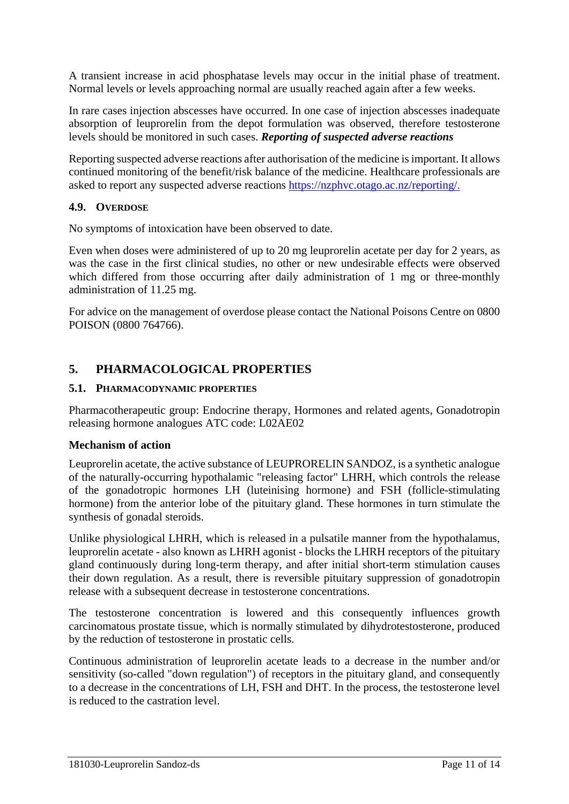A transient increase in acid phosphatase levels may occur in the initial phase of treatment. Normal levels or levels approaching normal are usually reached again after a few weeks.

In rare cases injection abscesses have occurred. In one case of injection abscesses inadequate absorption of leuprorelin from the depot formulation was observed, therefore testosterone levels should be monitored in such cases. *Reporting of suspected adverse reactions*

Reporting suspected adverse reactions after authorisation of the medicine is important. It allows continued monitoring of the benefit/risk balance of the medicine. Healthcare professionals are asked to report any suspected adverse reactions [https://nzphvc.otago.ac.nz/reporting/.](https://nzphvc.otago.ac.nz/reporting/)

### **4.9. OVERDOSE**

No symptoms of intoxication have been observed to date.

Even when doses were administered of up to 20 mg leuprorelin acetate per day for 2 years, as was the case in the first clinical studies, no other or new undesirable effects were observed which differed from those occurring after daily administration of 1 mg or three-monthly administration of 11.25 mg.

For advice on the management of overdose please contact the National Poisons Centre on 0800 POISON (0800 764766).

# **5. PHARMACOLOGICAL PROPERTIES**

### **5.1. PHARMACODYNAMIC PROPERTIES**

Pharmacotherapeutic group: Endocrine therapy, Hormones and related agents, Gonadotropin releasing hormone analogues ATC code: L02AE02

### **Mechanism of action**

Leuprorelin acetate, the active substance of LEUPRORELIN SANDOZ, is a synthetic analogue of the naturally-occurring hypothalamic "releasing factor" LHRH, which controls the release of the gonadotropic hormones LH (luteinising hormone) and FSH (follicle-stimulating hormone) from the anterior lobe of the pituitary gland. These hormones in turn stimulate the synthesis of gonadal steroids.

Unlike physiological LHRH, which is released in a pulsatile manner from the hypothalamus, leuprorelin acetate - also known as LHRH agonist - blocks the LHRH receptors of the pituitary gland continuously during long-term therapy, and after initial short-term stimulation causes their down regulation. As a result, there is reversible pituitary suppression of gonadotropin release with a subsequent decrease in testosterone concentrations.

The testosterone concentration is lowered and this consequently influences growth carcinomatous prostate tissue, which is normally stimulated by dihydrotestosterone, produced by the reduction of testosterone in prostatic cells.

Continuous administration of leuprorelin acetate leads to a decrease in the number and/or sensitivity (so-called "down regulation") of receptors in the pituitary gland, and consequently to a decrease in the concentrations of LH, FSH and DHT. In the process, the testosterone level is reduced to the castration level.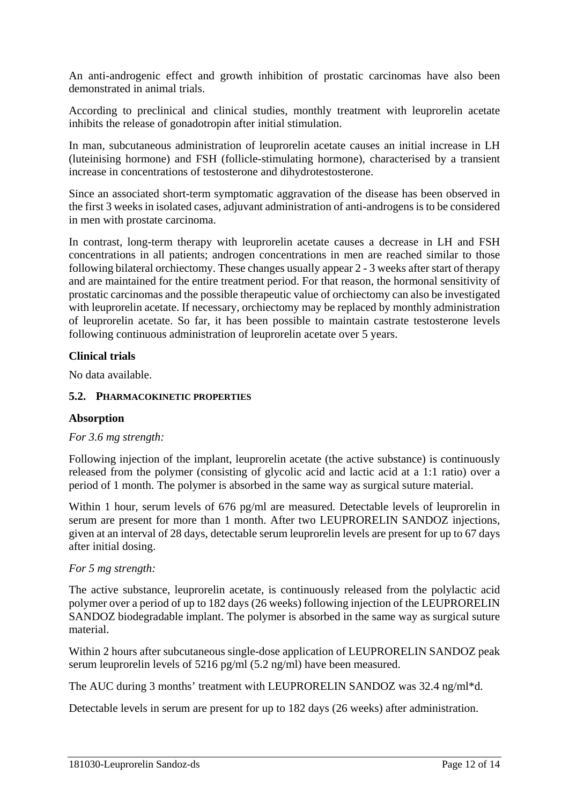An anti-androgenic effect and growth inhibition of prostatic carcinomas have also been demonstrated in animal trials.

According to preclinical and clinical studies, monthly treatment with leuprorelin acetate inhibits the release of gonadotropin after initial stimulation.

In man, subcutaneous administration of leuprorelin acetate causes an initial increase in LH (luteinising hormone) and FSH (follicle-stimulating hormone), characterised by a transient increase in concentrations of testosterone and dihydrotestosterone.

Since an associated short-term symptomatic aggravation of the disease has been observed in the first 3 weeks in isolated cases, adjuvant administration of anti-androgens is to be considered in men with prostate carcinoma.

In contrast, long-term therapy with leuprorelin acetate causes a decrease in LH and FSH concentrations in all patients; androgen concentrations in men are reached similar to those following bilateral orchiectomy. These changes usually appear 2 - 3 weeks after start of therapy and are maintained for the entire treatment period. For that reason, the hormonal sensitivity of prostatic carcinomas and the possible therapeutic value of orchiectomy can also be investigated with leuprorelin acetate. If necessary, orchiectomy may be replaced by monthly administration of leuprorelin acetate. So far, it has been possible to maintain castrate testosterone levels following continuous administration of leuprorelin acetate over 5 years.

### **Clinical trials**

No data available.

### <span id="page-11-0"></span>**5.2. PHARMACOKINETIC PROPERTIES**

### **Absorption**

### *For 3.6 mg strength:*

Following injection of the implant, leuprorelin acetate (the active substance) is continuously released from the polymer (consisting of glycolic acid and lactic acid at a 1:1 ratio) over a period of 1 month. The polymer is absorbed in the same way as surgical suture material.

Within 1 hour, serum levels of 676 pg/ml are measured. Detectable levels of leuprorelin in serum are present for more than 1 month. After two LEUPRORELIN SANDOZ injections, given at an interval of 28 days, detectable serum leuprorelin levels are present for up to 67 days after initial dosing.

### *For 5 mg strength:*

The active substance, leuprorelin acetate, is continuously released from the polylactic acid polymer over a period of up to 182 days (26 weeks) following injection of the LEUPRORELIN SANDOZ biodegradable implant. The polymer is absorbed in the same way as surgical suture material.

Within 2 hours after subcutaneous single-dose application of LEUPRORELIN SANDOZ peak serum leuprorelin levels of 5216 pg/ml (5.2 ng/ml) have been measured.

The AUC during 3 months' treatment with LEUPRORELIN SANDOZ was 32.4 ng/ml\*d.

Detectable levels in serum are present for up to 182 days (26 weeks) after administration.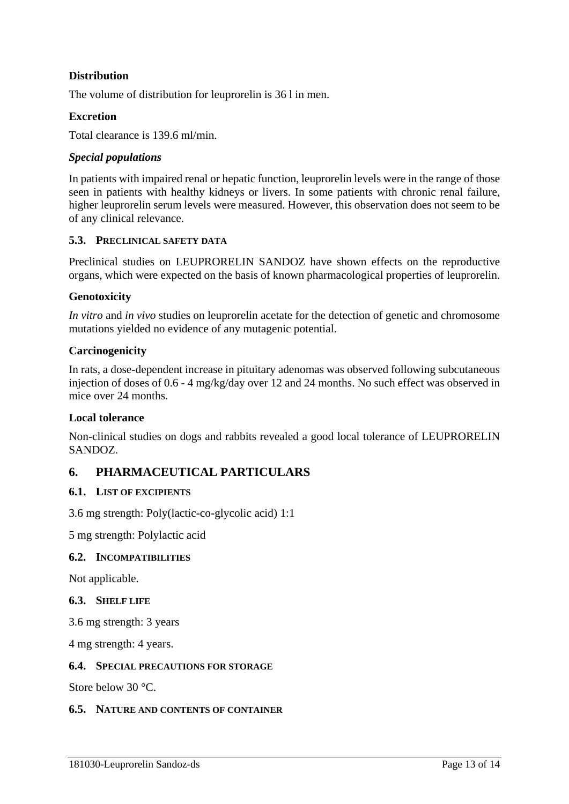### **Distribution**

The volume of distribution for leuprorelin is 36 l in men.

### **Excretion**

Total clearance is 139.6 ml/min.

### *Special populations*

In patients with impaired renal or hepatic function, leuprorelin levels were in the range of those seen in patients with healthy kidneys or livers. In some patients with chronic renal failure, higher leuprorelin serum levels were measured. However, this observation does not seem to be of any clinical relevance.

### **5.3. PRECLINICAL SAFETY DATA**

Preclinical studies on LEUPRORELIN SANDOZ have shown effects on the reproductive organs, which were expected on the basis of known pharmacological properties of leuprorelin.

### **Genotoxicity**

*In vitro* and *in vivo* studies on leuprorelin acetate for the detection of genetic and chromosome mutations yielded no evidence of any mutagenic potential.

### **Carcinogenicity**

In rats, a dose-dependent increase in pituitary adenomas was observed following subcutaneous injection of doses of 0.6 - 4 mg/kg/day over 12 and 24 months. No such effect was observed in mice over 24 months.

### **Local tolerance**

Non-clinical studies on dogs and rabbits revealed a good local tolerance of LEUPRORELIN SANDOZ.

### **6. PHARMACEUTICAL PARTICULARS**

### <span id="page-12-0"></span>**6.1. LIST OF EXCIPIENTS**

3.6 mg strength: Poly(lactic-co-glycolic acid) 1:1

5 mg strength: Polylactic acid

#### **6.2. INCOMPATIBILITIES**

Not applicable.

#### **6.3. SHELF LIFE**

3.6 mg strength: 3 years

4 mg strength: 4 years.

### **6.4. SPECIAL PRECAUTIONS FOR STORAGE**

Store below 30 °C.

#### **6.5. NATURE AND CONTENTS OF CONTAINER**